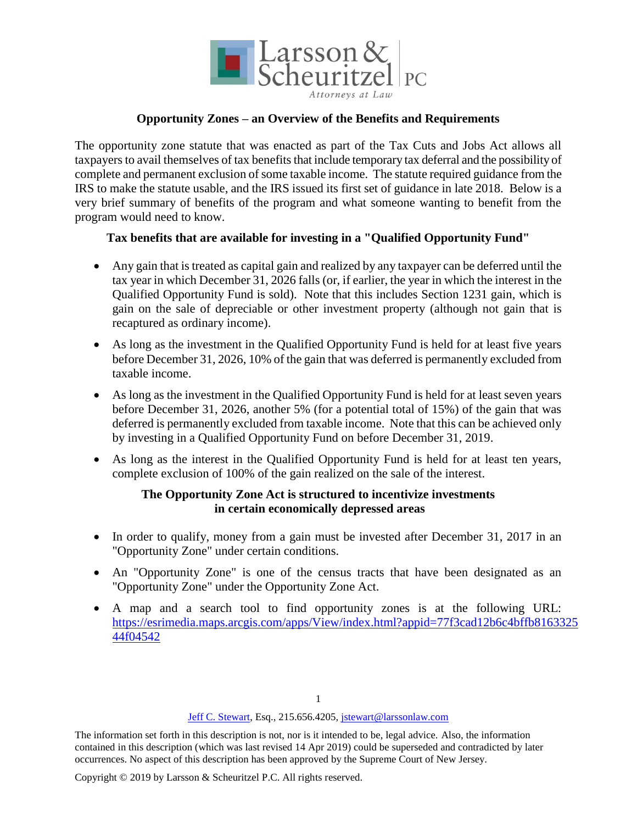

### **Opportunity Zones – an Overview of the Benefits and Requirements**

The opportunity zone statute that was enacted as part of the Tax Cuts and Jobs Act allows all taxpayers to avail themselves of tax benefits that include temporary tax deferral and the possibility of complete and permanent exclusion of some taxable income. The statute required guidance from the IRS to make the statute usable, and the IRS issued its first set of guidance in late 2018. Below is a very brief summary of benefits of the program and what someone wanting to benefit from the program would need to know.

#### **Tax benefits that are available for investing in a "Qualified Opportunity Fund"**

- Any gain that is treated as capital gain and realized by any taxpayer can be deferred until the tax year in which December 31, 2026 falls (or, if earlier, the year in which the interest in the Qualified Opportunity Fund is sold). Note that this includes Section 1231 gain, which is gain on the sale of depreciable or other investment property (although not gain that is recaptured as ordinary income).
- As long as the investment in the Qualified Opportunity Fund is held for at least five years before December 31, 2026, 10% of the gain that was deferred is permanently excluded from taxable income.
- As long as the investment in the Qualified Opportunity Fund is held for at least seven years before December 31, 2026, another 5% (for a potential total of 15%) of the gain that was deferred is permanently excluded from taxable income. Note that this can be achieved only by investing in a Qualified Opportunity Fund on before December 31, 2019.
- As long as the interest in the Qualified Opportunity Fund is held for at least ten years, complete exclusion of 100% of the gain realized on the sale of the interest.

# **The Opportunity Zone Act is structured to incentivize investments in certain economically depressed areas**

- In order to qualify, money from a gain must be invested after December 31, 2017 in an "Opportunity Zone" under certain conditions.
- An "Opportunity Zone" is one of the census tracts that have been designated as an "Opportunity Zone" under the Opportunity Zone Act.
- A map and a search tool to find opportunity zones is at the following URL: [https://esrimedia.maps.arcgis.com/apps/View/index.html?appid=77f3cad12b6c4bffb8163325](https://esrimedia.maps.arcgis.com/apps/View/index.html?appid=77f3cad12b6c4bffb816332544f04542) [44f04542](https://esrimedia.maps.arcgis.com/apps/View/index.html?appid=77f3cad12b6c4bffb816332544f04542)

#### [Jeff C. Stewart,](https://larssonlaw.com/team/attorneys/jeffry-c-stewart/) Esq., 215.656.4205, jstewart@larssonlaw.com

The information set forth in this description is not, nor is it intended to be, legal advice. Also, the information contained in this description (which was last revised 14 Apr 2019) could be superseded and contradicted by later occurrences. No aspect of this description has been approved by the Supreme Court of New Jersey.

Copyright © 2019 by Larsson & Scheuritzel P.C. All rights reserved.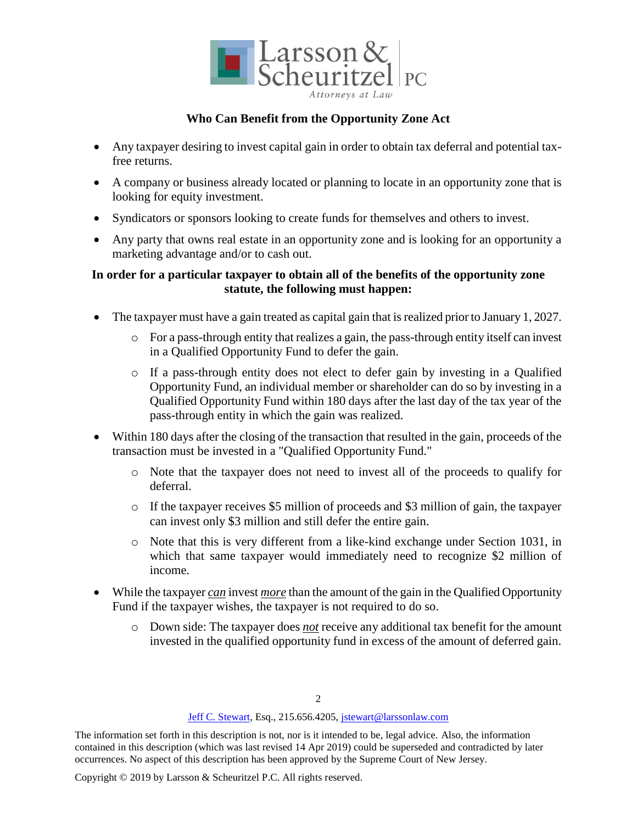

# **Who Can Benefit from the Opportunity Zone Act**

- Any taxpayer desiring to invest capital gain in order to obtain tax deferral and potential taxfree returns.
- A company or business already located or planning to locate in an opportunity zone that is looking for equity investment.
- Syndicators or sponsors looking to create funds for themselves and others to invest.
- Any party that owns real estate in an opportunity zone and is looking for an opportunity a marketing advantage and/or to cash out.

# **In order for a particular taxpayer to obtain all of the benefits of the opportunity zone statute, the following must happen:**

- The taxpayer must have a gain treated as capital gain that is realized prior to January 1, 2027.
	- o For a pass-through entity that realizes a gain, the pass-through entity itself can invest in a Qualified Opportunity Fund to defer the gain.
	- o If a pass-through entity does not elect to defer gain by investing in a Qualified Opportunity Fund, an individual member or shareholder can do so by investing in a Qualified Opportunity Fund within 180 days after the last day of the tax year of the pass-through entity in which the gain was realized.
- Within 180 days after the closing of the transaction that resulted in the gain, proceeds of the transaction must be invested in a "Qualified Opportunity Fund."
	- o Note that the taxpayer does not need to invest all of the proceeds to qualify for deferral.
	- $\circ$  If the taxpayer receives \$5 million of proceeds and \$3 million of gain, the taxpayer can invest only \$3 million and still defer the entire gain.
	- o Note that this is very different from a like-kind exchange under Section 1031, in which that same taxpayer would immediately need to recognize \$2 million of income.
- While the taxpayer *can* invest *more* than the amount of the gain in the Qualified Opportunity Fund if the taxpayer wishes, the taxpayer is not required to do so.
	- o Down side: The taxpayer does *not* receive any additional tax benefit for the amount invested in the qualified opportunity fund in excess of the amount of deferred gain.

#### [Jeff C. Stewart,](https://larssonlaw.com/team/attorneys/jeffry-c-stewart/) Esq., 215.656.4205, jstewart@larssonlaw.com

The information set forth in this description is not, nor is it intended to be, legal advice. Also, the information contained in this description (which was last revised 14 Apr 2019) could be superseded and contradicted by later occurrences. No aspect of this description has been approved by the Supreme Court of New Jersey.

Copyright © 2019 by Larsson & Scheuritzel P.C. All rights reserved.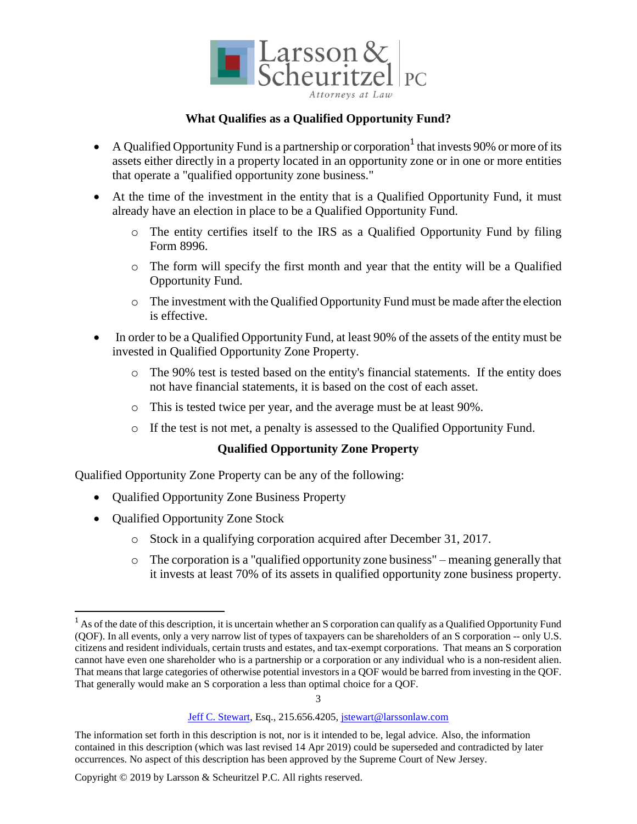

# **What Qualifies as a Qualified Opportunity Fund?**

- A Qualified Opportunity Fund is a partnership or corporation  $1$  that invests 90% or more of its assets either directly in a property located in an opportunity zone or in one or more entities that operate a "qualified opportunity zone business."
- At the time of the investment in the entity that is a Qualified Opportunity Fund, it must already have an election in place to be a Qualified Opportunity Fund.
	- o The entity certifies itself to the IRS as a Qualified Opportunity Fund by filing Form 8996.
	- o The form will specify the first month and year that the entity will be a Qualified Opportunity Fund.
	- o The investment with the Qualified Opportunity Fund must be made after the election is effective.
- In order to be a Qualified Opportunity Fund, at least 90% of the assets of the entity must be invested in Qualified Opportunity Zone Property.
	- o The 90% test is tested based on the entity's financial statements. If the entity does not have financial statements, it is based on the cost of each asset.
	- o This is tested twice per year, and the average must be at least 90%.
	- o If the test is not met, a penalty is assessed to the Qualified Opportunity Fund.

# **Qualified Opportunity Zone Property**

Qualified Opportunity Zone Property can be any of the following:

- Qualified Opportunity Zone Business Property
- Qualified Opportunity Zone Stock

 $\overline{a}$ 

- o Stock in a qualifying corporation acquired after December 31, 2017.
- o The corporation is a "qualified opportunity zone business" meaning generally that it invests at least 70% of its assets in qualified opportunity zone business property.

3

 $<sup>1</sup>$  As of the date of this description, it is uncertain whether an S corporation can qualify as a Qualified Opportunity Fund</sup> (QOF). In all events, only a very narrow list of types of taxpayers can be shareholders of an S corporation -- only U.S. citizens and resident individuals, certain trusts and estates, and tax-exempt corporations. That means an S corporation cannot have even one shareholder who is a partnership or a corporation or any individual who is a non-resident alien. That means that large categories of otherwise potential investors in a QOF would be barred from investing in the QOF. That generally would make an S corporation a less than optimal choice for a QOF.

[Jeff C. Stewart,](https://larssonlaw.com/team/attorneys/jeffry-c-stewart/) Esq., 215.656.4205, jstewart@larssonlaw.com

The information set forth in this description is not, nor is it intended to be, legal advice. Also, the information contained in this description (which was last revised 14 Apr 2019) could be superseded and contradicted by later occurrences. No aspect of this description has been approved by the Supreme Court of New Jersey.

Copyright © 2019 by Larsson & Scheuritzel P.C. All rights reserved.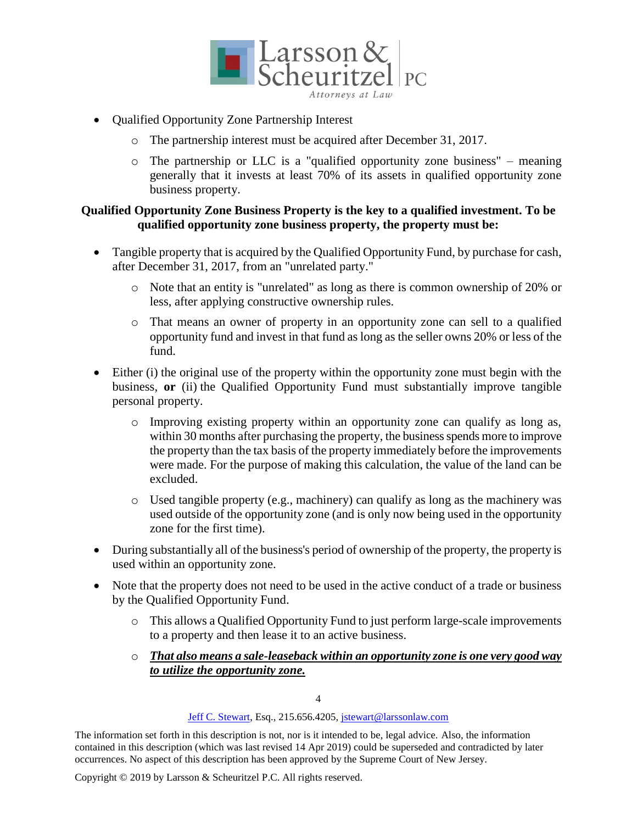

- Qualified Opportunity Zone Partnership Interest
	- o The partnership interest must be acquired after December 31, 2017.
	- o The partnership or LLC is a "qualified opportunity zone business" meaning generally that it invests at least 70% of its assets in qualified opportunity zone business property.

# **Qualified Opportunity Zone Business Property is the key to a qualified investment. To be qualified opportunity zone business property, the property must be:**

- Tangible property that is acquired by the Qualified Opportunity Fund, by purchase for cash, after December 31, 2017, from an "unrelated party."
	- o Note that an entity is "unrelated" as long as there is common ownership of 20% or less, after applying constructive ownership rules.
	- o That means an owner of property in an opportunity zone can sell to a qualified opportunity fund and invest in that fund as long as the seller owns 20% or less of the fund.
- Either (i) the original use of the property within the opportunity zone must begin with the business, **or** (ii) the Qualified Opportunity Fund must substantially improve tangible personal property.
	- o Improving existing property within an opportunity zone can qualify as long as, within 30 months after purchasing the property, the business spends more to improve the property than the tax basis of the property immediately before the improvements were made. For the purpose of making this calculation, the value of the land can be excluded.
	- o Used tangible property (e.g., machinery) can qualify as long as the machinery was used outside of the opportunity zone (and is only now being used in the opportunity zone for the first time).
- During substantially all of the business's period of ownership of the property, the property is used within an opportunity zone.
- Note that the property does not need to be used in the active conduct of a trade or business by the Qualified Opportunity Fund.
	- o This allows a Qualified Opportunity Fund to just perform large-scale improvements to a property and then lease it to an active business.
	- o *That also means a sale-leaseback within an opportunity zone is one very good way to utilize the opportunity zone.*

4

#### [Jeff C. Stewart,](https://larssonlaw.com/team/attorneys/jeffry-c-stewart/) Esq., 215.656.4205, jstewart@larssonlaw.com

The information set forth in this description is not, nor is it intended to be, legal advice. Also, the information contained in this description (which was last revised 14 Apr 2019) could be superseded and contradicted by later occurrences. No aspect of this description has been approved by the Supreme Court of New Jersey.

Copyright © 2019 by Larsson & Scheuritzel P.C. All rights reserved.